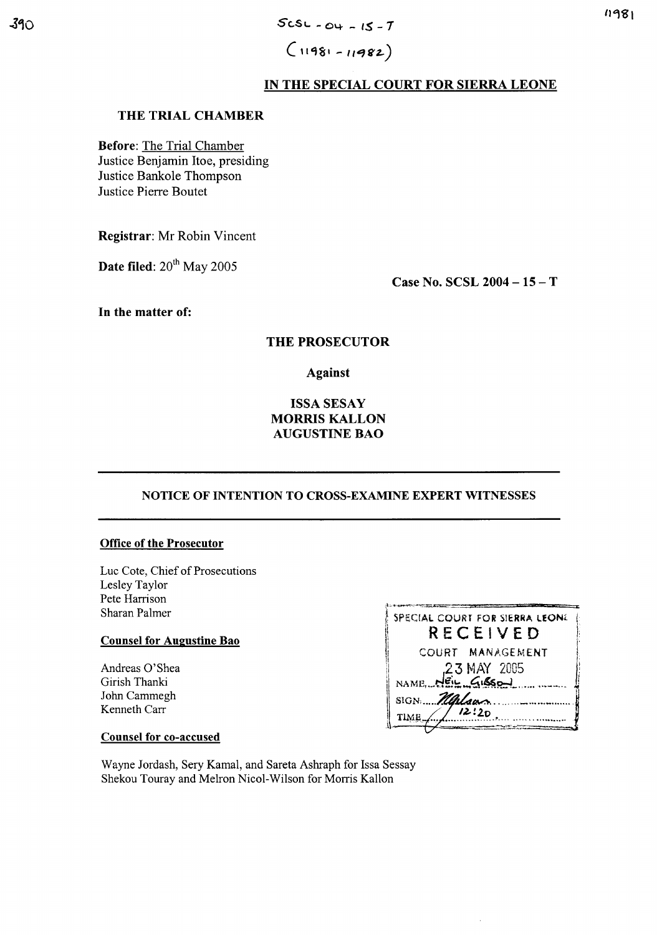$(11981 - 11982)$ 

# IN THE SPECIAL COURT FOR SIERRA LEONE

### THE TRIAL CHAMBER

**Before:** The Trial Chamber Justice Benjamin Itoe, presiding Justice Bankole Thompson Justice Pierre Boutet

Registrar: Mr Robin Vincent

Date filed: 20<sup>th</sup> May 2005

Case No. SCSL 2004 - 15 - T

In the matter of:

# THE PROSECUTOR

**Against** 

# **ISSA SESAY MORRIS KALLON AUGUSTINE BAO**

### NOTICE OF INTENTION TO CROSS-EXAMINE EXPERT WITNESSES

### **Office of the Prosecutor**

Luc Cote, Chief of Prosecutions Lesley Taylor Pete Harrison Sharan Palmer

### **Counsel for Augustine Bao**

Andreas O'Shea Girish Thanki John Cammegh Kenneth Carr

| SPECIAL COURT FOR SIERRA LEONE<br>RECEIVED |
|--------------------------------------------|
| COURT MANAGEMENT                           |
| 23 MAY 2005                                |
| NAME NEIL GISSON                           |
| SIGN Malgas                                |
| /12:20<br>TIME_                            |
|                                            |

### **Counsel for co-accused**

Wayne Jordash, Sery Kamal, and Sareta Ashraph for Issa Sessay Shekou Touray and Melron Nicol-Wilson for Morris Kallon